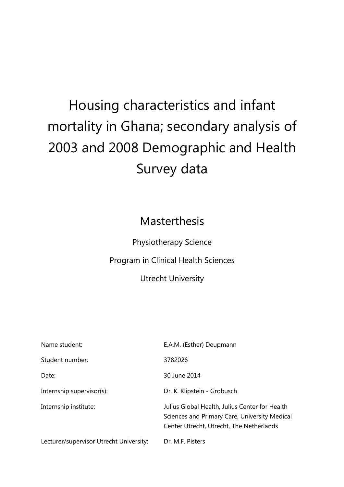# Housing characteristics and infant mortality in Ghana; secondary analysis of 2003 and 2008 Demographic and Health Survey data

# Masterthesis

Physiotherapy Science

Program in Clinical Health Sciences

Utrecht University

| Lecturer/supervisor Utrecht University: | Dr. M.F. Pisters                                                                                                                            |
|-----------------------------------------|---------------------------------------------------------------------------------------------------------------------------------------------|
| Internship institute:                   | Julius Global Health, Julius Center for Health<br>Sciences and Primary Care, University Medical<br>Center Utrecht, Utrecht, The Netherlands |
| Internship supervisor(s):               | Dr. K. Klipstein - Grobusch                                                                                                                 |
| Date:                                   | 30 June 2014                                                                                                                                |
| Student number:                         | 3782026                                                                                                                                     |
| Name student:                           | E.A.M. (Esther) Deupmann                                                                                                                    |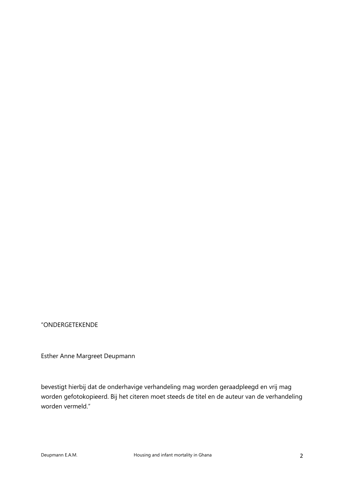## "ONDERGETEKENDE

Esther Anne Margreet Deupmann

bevestigt hierbij dat de onderhavige verhandeling mag worden geraadpleegd en vrij mag worden gefotokopieerd. Bij het citeren moet steeds de titel en de auteur van de verhandeling worden vermeld."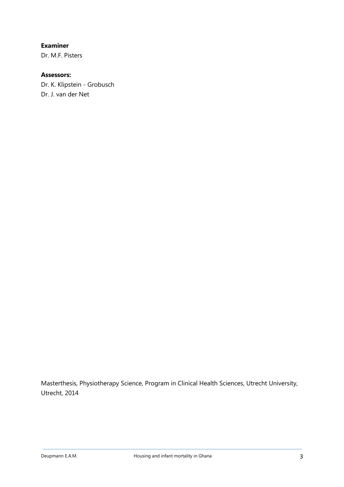**Examiner**

Dr. M.F. Pisters

# **Assessors:**

Dr. K. Klipstein - Grobusch Dr. J. van der Net

Masterthesis, Physiotherapy Science, Program in Clinical Health Sciences, Utrecht University, Utrecht, 2014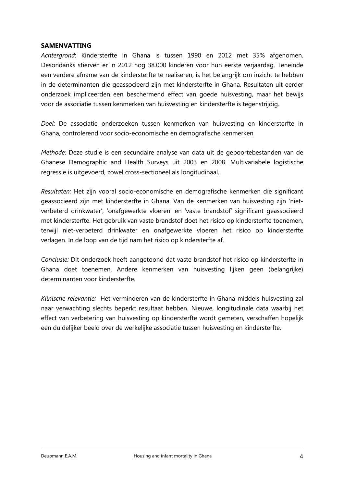#### **SAMENVATTING**

*Achtergrond*: Kindersterfte in Ghana is tussen 1990 en 2012 met 35% afgenomen. Desondanks stierven er in 2012 nog 38.000 kinderen voor hun eerste verjaardag. Teneinde een verdere afname van de kindersterfte te realiseren, is het belangrijk om inzicht te hebben in de determinanten die geassocieerd zijn met kindersterfte in Ghana. Resultaten uit eerder onderzoek impliceerden een beschermend effect van goede huisvesting, maar het bewijs voor de associatie tussen kenmerken van huisvesting en kindersterfte is tegenstrijdig.

*Doel*: De associatie onderzoeken tussen kenmerken van huisvesting en kindersterfte in Ghana, controlerend voor socio-economische en demografische kenmerken.

*Methode:* Deze studie is een secundaire analyse van data uit de geboortebestanden van de Ghanese Demographic and Health Surveys uit 2003 en 2008. Multivariabele logistische regressie is uitgevoerd, zowel cross-sectioneel als longitudinaal.

*Resultaten:* Het zijn vooral socio-economische en demografische kenmerken die significant geassocieerd zijn met kindersterfte in Ghana. Van de kenmerken van huisvesting zijn 'nietverbeterd drinkwater', 'onafgewerkte vloeren' en 'vaste brandstof' significant geassocieerd met kindersterfte. Het gebruik van vaste brandstof doet het risico op kindersterfte toenemen, terwijl niet-verbeterd drinkwater en onafgewerkte vloeren het risico op kindersterfte verlagen. In de loop van de tijd nam het risico op kindersterfte af.

*Conclusie:* Dit onderzoek heeft aangetoond dat vaste brandstof het risico op kindersterfte in Ghana doet toenemen. Andere kenmerken van huisvesting lijken geen (belangrijke) determinanten voor kindersterfte.

*Klinische relevantie:* Het verminderen van de kindersterfte in Ghana middels huisvesting zal naar verwachting slechts beperkt resultaat hebben. Nieuwe, longitudinale data waarbij het effect van verbetering van huisvesting op kindersterfte wordt gemeten, verschaffen hopelijk een duidelijker beeld over de werkelijke associatie tussen huisvesting en kindersterfte.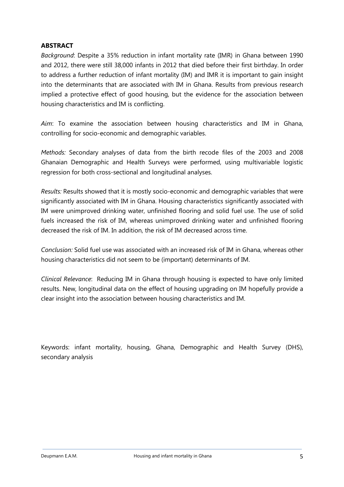#### **ABSTRACT**

*Background*: Despite a 35% reduction in infant mortality rate (IMR) in Ghana between 1990 and 2012, there were still 38,000 infants in 2012 that died before their first birthday. In order to address a further reduction of infant mortality (IM) and IMR it is important to gain insight into the determinants that are associated with IM in Ghana. Results from previous research implied a protective effect of good housing, but the evidence for the association between housing characteristics and IM is conflicting.

*Aim*: To examine the association between housing characteristics and IM in Ghana, controlling for socio-economic and demographic variables.

*Methods:* Secondary analyses of data from the birth recode files of the 2003 and 2008 Ghanaian Demographic and Health Surveys were performed, using multivariable logistic regression for both cross-sectional and longitudinal analyses.

*Results:* Results showed that it is mostly socio-economic and demographic variables that were significantly associated with IM in Ghana. Housing characteristics significantly associated with IM were unimproved drinking water, unfinished flooring and solid fuel use. The use of solid fuels increased the risk of IM, whereas unimproved drinking water and unfinished flooring decreased the risk of IM. In addition, the risk of IM decreased across time.

*Conclusion:* Solid fuel use was associated with an increased risk of IM in Ghana, whereas other housing characteristics did not seem to be (important) determinants of IM.

*Clinical Relevance*: Reducing IM in Ghana through housing is expected to have only limited results. New, longitudinal data on the effect of housing upgrading on IM hopefully provide a clear insight into the association between housing characteristics and IM.

Keywords: infant mortality, housing, Ghana, Demographic and Health Survey (DHS), secondary analysis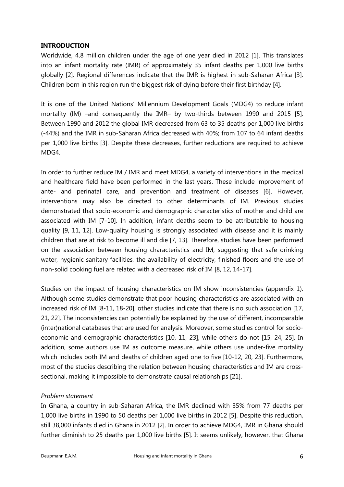#### **INTRODUCTION**

Worldwide, 4.8 million children under the age of one year died in 2012 [1]. This translates into an infant mortality rate (IMR) of approximately 35 infant deaths per 1,000 live births globally [2]. Regional differences indicate that the IMR is highest in sub-Saharan Africa [3]. Children born in this region run the biggest risk of dying before their first birthday [4].

It is one of the United Nations' Millennium Development Goals (MDG4) to reduce infant mortality (IM) –and consequently the IMR– by two-thirds between 1990 and 2015 [5]. Between 1990 and 2012 the global IMR decreased from 63 to 35 deaths per 1,000 live births (-44%) and the IMR in sub-Saharan Africa decreased with 40%; from 107 to 64 infant deaths per 1,000 live births [3]. Despite these decreases, further reductions are required to achieve MDG4.

In order to further reduce IM / IMR and meet MDG4, a variety of interventions in the medical and healthcare field have been performed in the last years. These include improvement of ante- and perinatal care, and prevention and treatment of diseases [6]. However, interventions may also be directed to other determinants of IM. Previous studies demonstrated that socio-economic and demographic characteristics of mother and child are associated with IM [7-10]. In addition, infant deaths seem to be attributable to housing quality [9, 11, 12]. Low-quality housing is strongly associated with disease and it is mainly children that are at risk to become ill and die [7, 13]. Therefore, studies have been performed on the association between housing characteristics and IM, suggesting that safe drinking water, hygienic sanitary facilities, the availability of electricity, finished floors and the use of non-solid cooking fuel are related with a decreased risk of IM [8, 12, 14-17].

Studies on the impact of housing characteristics on IM show inconsistencies (appendix 1). Although some studies demonstrate that poor housing characteristics are associated with an increased risk of IM [8-11, 18-20], other studies indicate that there is no such association [17, 21, 22]. The inconsistencies can potentially be explained by the use of different, incomparable (inter)national databases that are used for analysis. Moreover, some studies control for socioeconomic and demographic characteristics [10, 11, 23], while others do not [15, 24, 25]. In addition, some authors use IM as outcome measure, while others use under-five mortality which includes both IM and deaths of children aged one to five [10-12, 20, 23]. Furthermore, most of the studies describing the relation between housing characteristics and IM are crosssectional, making it impossible to demonstrate causal relationships [21].

#### *Problem statement*

In Ghana, a country in sub-Saharan Africa, the IMR declined with 35% from 77 deaths per 1,000 live births in 1990 to 50 deaths per 1,000 live births in 2012 [5]. Despite this reduction, still 38,000 infants died in Ghana in 2012 [2]. In order to achieve MDG4, IMR in Ghana should further diminish to 25 deaths per 1,000 live births [5]. It seems unlikely, however, that Ghana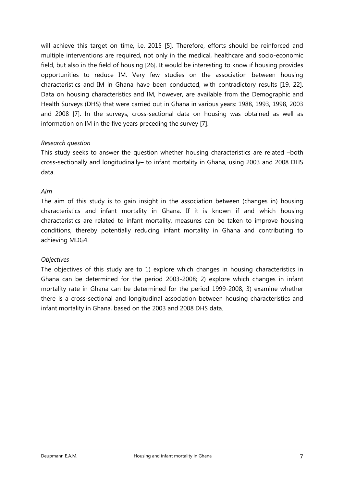will achieve this target on time, i.e. 2015 [5]. Therefore, efforts should be reinforced and multiple interventions are required, not only in the medical, healthcare and socio-economic field, but also in the field of housing [26]. It would be interesting to know if housing provides opportunities to reduce IM. Very few studies on the association between housing characteristics and IM in Ghana have been conducted, with contradictory results [19, 22]. Data on housing characteristics and IM, however, are available from the Demographic and Health Surveys (DHS) that were carried out in Ghana in various years: 1988, 1993, 1998, 2003 and 2008 [7]. In the surveys, cross-sectional data on housing was obtained as well as information on IM in the five years preceding the survey [7].

#### *Research question*

This study seeks to answer the question whether housing characteristics are related –both cross-sectionally and longitudinally– to infant mortality in Ghana, using 2003 and 2008 DHS data.

#### *Aim*

The aim of this study is to gain insight in the association between (changes in) housing characteristics and infant mortality in Ghana. If it is known if and which housing characteristics are related to infant mortality, measures can be taken to improve housing conditions, thereby potentially reducing infant mortality in Ghana and contributing to achieving MDG4.

#### *Objectives*

The objectives of this study are to 1) explore which changes in housing characteristics in Ghana can be determined for the period 2003-2008; 2) explore which changes in infant mortality rate in Ghana can be determined for the period 1999-2008; 3) examine whether there is a cross-sectional and longitudinal association between housing characteristics and infant mortality in Ghana, based on the 2003 and 2008 DHS data.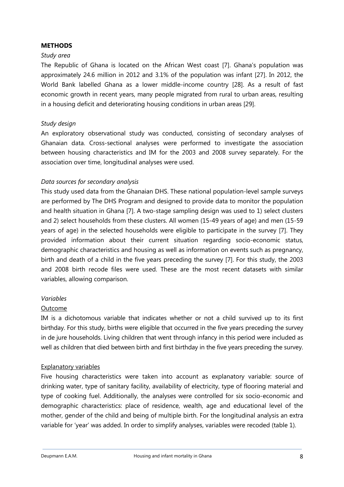#### **METHODS**

#### *Study area*

The Republic of Ghana is located on the African West coast [7]. Ghana's population was approximately 24.6 million in 2012 and 3.1% of the population was infant [27]. In 2012, the World Bank labelled Ghana as a lower middle-income country [28]. As a result of fast economic growth in recent years, many people migrated from rural to urban areas, resulting in a housing deficit and deteriorating housing conditions in urban areas [29].

#### *Study design*

An exploratory observational study was conducted, consisting of secondary analyses of Ghanaian data. Cross-sectional analyses were performed to investigate the association between housing characteristics and IM for the 2003 and 2008 survey separately. For the association over time, longitudinal analyses were used.

#### *Data sources for secondary analysis*

This study used data from the Ghanaian DHS. These national population-level sample surveys are performed by The DHS Program and designed to provide data to monitor the population and health situation in Ghana [7]. A two-stage sampling design was used to 1) select clusters and 2) select households from these clusters. All women (15-49 years of age) and men (15-59 years of age) in the selected households were eligible to participate in the survey [7]. They provided information about their current situation regarding socio-economic status, demographic characteristics and housing as well as information on events such as pregnancy, birth and death of a child in the five years preceding the survey [7]. For this study, the 2003 and 2008 birth recode files were used. These are the most recent datasets with similar variables, allowing comparison.

#### *Variables*

#### Outcome

IM is a dichotomous variable that indicates whether or not a child survived up to its first birthday. For this study, births were eligible that occurred in the five years preceding the survey in de jure households. Living children that went through infancy in this period were included as well as children that died between birth and first birthday in the five years preceding the survey.

#### Explanatory variables

Five housing characteristics were taken into account as explanatory variable: source of drinking water, type of sanitary facility, availability of electricity, type of flooring material and type of cooking fuel. Additionally, the analyses were controlled for six socio-economic and demographic characteristics: place of residence, wealth, age and educational level of the mother, gender of the child and being of multiple birth. For the longitudinal analysis an extra variable for 'year' was added. In order to simplify analyses, variables were recoded (table 1).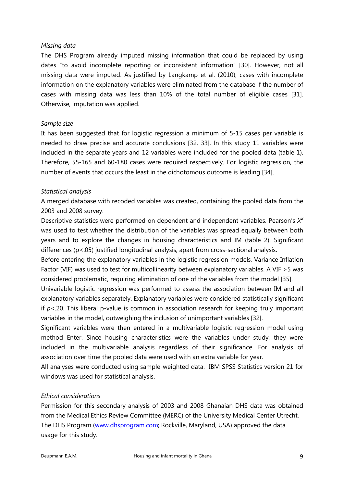#### *Missing data*

The DHS Program already imputed missing information that could be replaced by using dates "to avoid incomplete reporting or inconsistent information" [30]. However, not all missing data were imputed. As justified by Langkamp et al. (2010), cases with incomplete information on the explanatory variables were eliminated from the database if the number of cases with missing data was less than 10% of the total number of eligible cases [31]. Otherwise, imputation was applied.

#### *Sample size*

It has been suggested that for logistic regression a minimum of 5-15 cases per variable is needed to draw precise and accurate conclusions [32, 33]. In this study 11 variables were included in the separate years and 12 variables were included for the pooled data (table 1). Therefore, 55-165 and 60-180 cases were required respectively. For logistic regression, the number of events that occurs the least in the dichotomous outcome is leading [34].

#### *Statistical analysis*

A merged database with recoded variables was created, containing the pooled data from the 2003 and 2008 survey.

Descriptive statistics were performed on dependent and independent variables. Pearson's *X 2* was used to test whether the distribution of the variables was spread equally between both years and to explore the changes in housing characteristics and IM (table 2). Significant differences (p<.05) justified longitudinal analysis, apart from cross-sectional analysis.

Before entering the explanatory variables in the logistic regression models, Variance Inflation Factor (VIF) was used to test for multicollinearity between explanatory variables. A VIF >5 was considered problematic, requiring elimination of one of the variables from the model [35].

Univariable logistic regression was performed to assess the association between IM and all explanatory variables separately. Explanatory variables were considered statistically significant if  $p$ <.20. This liberal p-value is common in association research for keeping truly important variables in the model, outweighing the inclusion of unimportant variables [32].

Significant variables were then entered in a multivariable logistic regression model using method Enter. Since housing characteristics were the variables under study, they were included in the multivariable analysis regardless of their significance. For analysis of association over time the pooled data were used with an extra variable for year.

All analyses were conducted using sample-weighted data. IBM SPSS Statistics version 21 for windows was used for statistical analysis.

#### *Ethical considerations*

Permission for this secondary analysis of 2003 and 2008 Ghanaian DHS data was obtained from the Medical Ethics Review Committee (MERC) of the University Medical Center Utrecht. The DHS Program (www.dhsprogram.com; Rockville, Maryland, USA) approved the data usage for this study.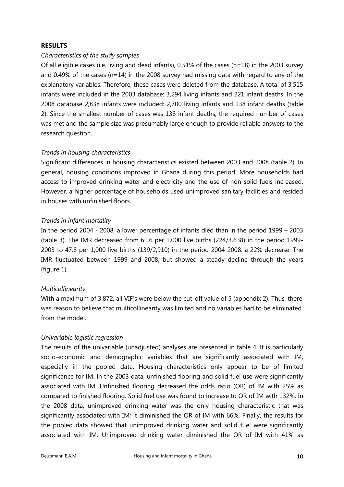#### **RESULTS**

#### *Characteristics of the study samples*

Of all eligible cases (i.e. living and dead infants), 0.51% of the cases (n=18) in the 2003 survey and 0.49% of the cases ( $n=14$ ) in the 2008 survey had missing data with regard to any of the explanatory variables. Therefore, these cases were deleted from the database. A total of 3,515 infants were included in the 2003 database: 3,294 living infants and 221 infant deaths. In the 2008 database 2,838 infants were included: 2,700 living infants and 138 infant deaths (table 2). Since the smallest number of cases was 138 infant deaths, the required number of cases was met and the sample size was presumably large enough to provide reliable answers to the research question.

#### *Trends in housing characteristics*

Significant differences in housing characteristics existed between 2003 and 2008 (table 2). In general, housing conditions improved in Ghana during this period. More households had access to improved drinking water and electricity and the use of non-solid fuels increased. However, a higher percentage of households used unimproved sanitary facilities and resided in houses with unfinished floors.

#### *Trends in infant mortality*

In the period 2004 - 2008, a lower percentage of infants died than in the period 1999 – 2003 (table 3). The IMR decreased from 61.6 per 1,000 live births (224/3,638) in the period 1999- 2003 to 47.8 per 1,000 live births (139/2,910) in the period 2004-2008: a 22% decrease. The IMR fluctuated between 1999 and 2008, but showed a steady decline through the years (figure 1).

#### *Multicollinearity*

With a maximum of 3.872, all VIF's were below the cut-off value of 5 (appendix 2). Thus, there was reason to believe that multicollinearity was limited and no variables had to be eliminated from the model.

#### *Univariable logistic regression*

The results of the univariable (unadjusted) analyses are presented in table 4. It is particularly socio-economic and demographic variables that are significantly associated with IM, especially in the pooled data. Housing characteristics only appear to be of limited significance for IM. In the 2003 data, unfinished flooring and solid fuel use were significantly associated with IM. Unfinished flooring decreased the odds ratio (OR) of IM with 25% as compared to finished flooring. Solid fuel use was found to increase to OR of IM with 132%. In the 2008 data, unimproved drinking water was the only housing characteristic that was significantly associated with IM; it diminished the OR of IM with 66%. Finally, the results for the pooled data showed that unimproved drinking water and solid fuel were significantly associated with IM. Unimproved drinking water diminished the OR of IM with 41% as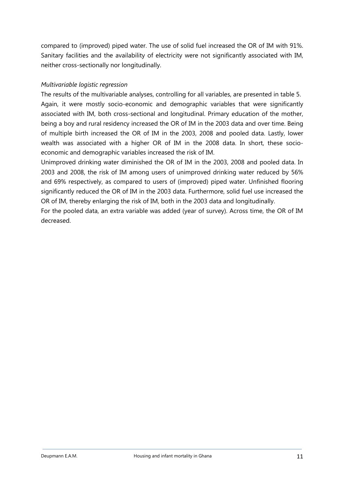compared to (improved) piped water. The use of solid fuel increased the OR of IM with 91%. Sanitary facilities and the availability of electricity were not significantly associated with IM, neither cross-sectionally nor longitudinally.

# *Multivariable logistic regression*

The results of the multivariable analyses, controlling for all variables, are presented in table 5. Again, it were mostly socio-economic and demographic variables that were significantly associated with IM, both cross-sectional and longitudinal. Primary education of the mother, being a boy and rural residency increased the OR of IM in the 2003 data and over time. Being of multiple birth increased the OR of IM in the 2003, 2008 and pooled data. Lastly, lower wealth was associated with a higher OR of IM in the 2008 data. In short, these socioeconomic and demographic variables increased the risk of IM.

Unimproved drinking water diminished the OR of IM in the 2003, 2008 and pooled data. In 2003 and 2008, the risk of IM among users of unimproved drinking water reduced by 56% and 69% respectively, as compared to users of (improved) piped water. Unfinished flooring significantly reduced the OR of IM in the 2003 data. Furthermore, solid fuel use increased the OR of IM, thereby enlarging the risk of IM, both in the 2003 data and longitudinally.

For the pooled data, an extra variable was added (year of survey). Across time, the OR of IM decreased.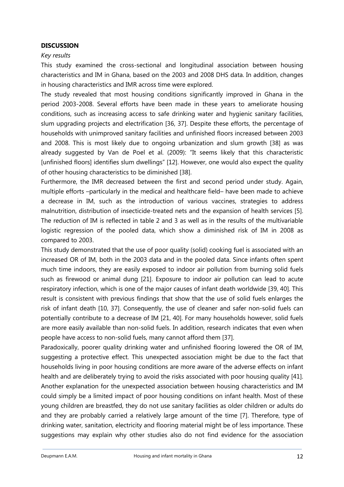#### **DISCUSSION**

#### *Key results*

This study examined the cross-sectional and longitudinal association between housing characteristics and IM in Ghana, based on the 2003 and 2008 DHS data. In addition, changes in housing characteristics and IMR across time were explored.

The study revealed that most housing conditions significantly improved in Ghana in the period 2003-2008. Several efforts have been made in these years to ameliorate housing conditions, such as increasing access to safe drinking water and hygienic sanitary facilities, slum upgrading projects and electrification [36, 37]. Despite these efforts, the percentage of households with unimproved sanitary facilities and unfinished floors increased between 2003 and 2008. This is most likely due to ongoing urbanization and slum growth [38] as was already suggested by Van de Poel et al. (2009): "It seems likely that this characteristic [unfinished floors] identifies slum dwellings" [12]. However, one would also expect the quality of other housing characteristics to be diminished [38].

Furthermore, the IMR decreased between the first and second period under study. Again, multiple efforts –particularly in the medical and healthcare field– have been made to achieve a decrease in IM, such as the introduction of various vaccines, strategies to address malnutrition, distribution of insecticide-treated nets and the expansion of health services [5]. The reduction of IM is reflected in table 2 and 3 as well as in the results of the multivariable logistic regression of the pooled data, which show a diminished risk of IM in 2008 as compared to 2003.

This study demonstrated that the use of poor quality (solid) cooking fuel is associated with an increased OR of IM, both in the 2003 data and in the pooled data. Since infants often spent much time indoors, they are easily exposed to indoor air pollution from burning solid fuels such as firewood or animal dung [21]. Exposure to indoor air pollution can lead to acute respiratory infection, which is one of the major causes of infant death worldwide [39, 40]. This result is consistent with previous findings that show that the use of solid fuels enlarges the risk of infant death [10, 37]. Consequently, the use of cleaner and safer non-solid fuels can potentially contribute to a decrease of IM [21, 40]. For many households however, solid fuels are more easily available than non-solid fuels. In addition, research indicates that even when people have access to non-solid fuels, many cannot afford them [37].

Paradoxically, poorer quality drinking water and unfinished flooring lowered the OR of IM, suggesting a protective effect. This unexpected association might be due to the fact that households living in poor housing conditions are more aware of the adverse effects on infant health and are deliberately trying to avoid the risks associated with poor housing quality [41]. Another explanation for the unexpected association between housing characteristics and IM could simply be a limited impact of poor housing conditions on infant health. Most of these young children are breastfed, they do not use sanitary facilities as older children or adults do and they are probably carried a relatively large amount of the time [7]. Therefore, type of drinking water, sanitation, electricity and flooring material might be of less importance. These suggestions may explain why other studies also do not find evidence for the association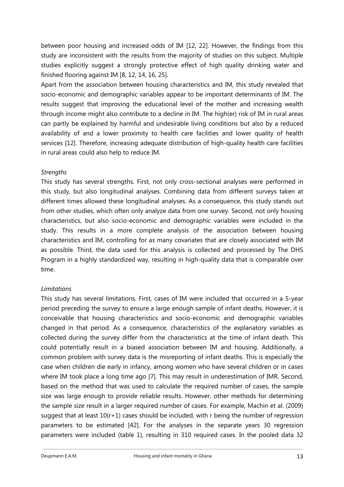between poor housing and increased odds of IM [12, 22]. However, the findings from this study are inconsistent with the results from the majority of studies on this subject. Multiple studies explicitly suggest a strongly protective effect of high quality drinking water and finished flooring against IM [8, 12, 14, 16, 25].

Apart from the association between housing characteristics and IM, this study revealed that socio-economic and demographic variables appear to be important determinants of IM. The results suggest that improving the educational level of the mother and increasing wealth through income might also contribute to a decline in IM. The high(er) risk of IM in rural areas can partly be explained by harmful and undesirable living conditions but also by a reduced availability of and a lower proximity to health care facilities and lower quality of health services [12]. Therefore, increasing adequate distribution of high-quality health care facilities in rural areas could also help to reduce IM.

#### *Strengths*

This study has several strengths. First, not only cross-sectional analyses were performed in this study, but also longitudinal analyses. Combining data from different surveys taken at different times allowed these longitudinal analyses. As a consequence, this study stands out from other studies, which often only analyze data from one survey. Second, not only housing characteristics, but also socio-economic and demographic variables were included in the study. This results in a more complete analysis of the association between housing characteristics and IM, controlling for as many covariates that are closely associated with IM as possible. Third, the data used for this analysis is collected and processed by The DHS Program in a highly standardized way, resulting in high-quality data that is comparable over time.

# *Limitations*

This study has several limitations. First, cases of IM were included that occurred in a 5-year period preceding the survey to ensure a large enough sample of infant deaths. However, it is conceivable that housing characteristics and socio-economic and demographic variables changed in that period. As a consequence, characteristics of the explanatory variables as collected during the survey differ from the characteristics at the time of infant death. This could potentially result in a biased association between IM and housing. Additionally, a common problem with survey data is the misreporting of infant deaths. This is especially the case when children die early in infancy, among women who have several children or in cases where IM took place a long time ago [7]. This may result in underestimation of IMR. Second, based on the method that was used to calculate the required number of cases, the sample size was large enough to provide reliable results. However, other methods for determining the sample size result in a larger required number of cases. For example, Machin et al. (2009) suggest that at least  $10(r+1)$  cases should be included, with r being the number of regression parameters to be estimated [42]. For the analyses in the separate years 30 regression parameters were included (table 1), resulting in 310 required cases. In the pooled data 32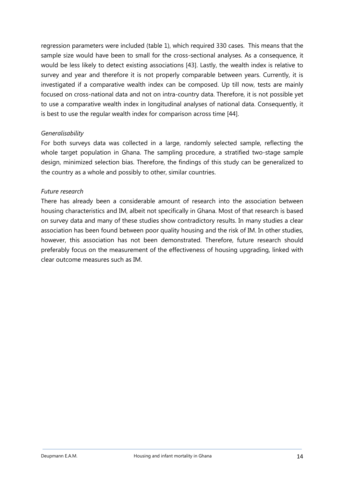regression parameters were included (table 1), which required 330 cases. This means that the sample size would have been to small for the cross-sectional analyses. As a consequence, it would be less likely to detect existing associations [43]. Lastly, the wealth index is relative to survey and year and therefore it is not properly comparable between years. Currently, it is investigated if a comparative wealth index can be composed. Up till now, tests are mainly focused on cross-national data and not on intra-country data. Therefore, it is not possible yet to use a comparative wealth index in longitudinal analyses of national data. Consequently, it is best to use the regular wealth index for comparison across time [44].

#### *Generalisability*

For both surveys data was collected in a large, randomly selected sample, reflecting the whole target population in Ghana. The sampling procedure, a stratified two-stage sample design, minimized selection bias. Therefore, the findings of this study can be generalized to the country as a whole and possibly to other, similar countries.

#### *Future research*

There has already been a considerable amount of research into the association between housing characteristics and IM, albeit not specifically in Ghana. Most of that research is based on survey data and many of these studies show contradictory results. In many studies a clear association has been found between poor quality housing and the risk of IM. In other studies, however, this association has not been demonstrated. Therefore, future research should preferably focus on the measurement of the effectiveness of housing upgrading, linked with clear outcome measures such as IM.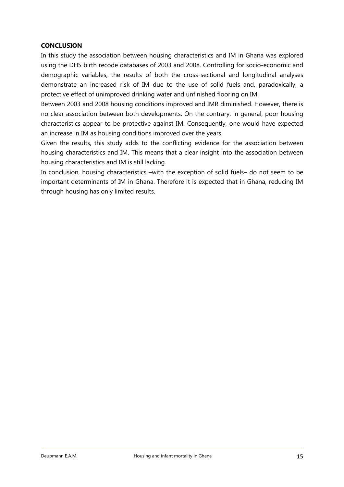#### **CONCLUSION**

In this study the association between housing characteristics and IM in Ghana was explored using the DHS birth recode databases of 2003 and 2008. Controlling for socio-economic and demographic variables, the results of both the cross-sectional and longitudinal analyses demonstrate an increased risk of IM due to the use of solid fuels and, paradoxically, a protective effect of unimproved drinking water and unfinished flooring on IM.

Between 2003 and 2008 housing conditions improved and IMR diminished. However, there is no clear association between both developments. On the contrary: in general, poor housing characteristics appear to be protective against IM. Consequently, one would have expected an increase in IM as housing conditions improved over the years.

Given the results, this study adds to the conflicting evidence for the association between housing characteristics and IM. This means that a clear insight into the association between housing characteristics and IM is still lacking.

In conclusion, housing characteristics –with the exception of solid fuels– do not seem to be important determinants of IM in Ghana. Therefore it is expected that in Ghana, reducing IM through housing has only limited results.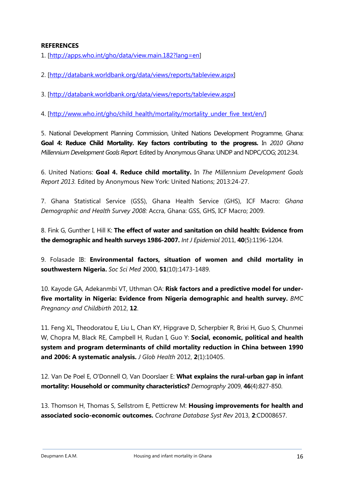#### **REFERENCES**

1. [http://apps.who.int/gho/data/view.main.182?lang=en]

2. [http://databank.worldbank.org/data/views/reports/tableview.aspx]

3. [http://databank.worldbank.org/data/views/reports/tableview.aspx]

4. [http://www.who.int/gho/child\_health/mortality/mortality\_under\_five\_text/en/]

5. National Development Planning Commission, United Nations Development Programme, Ghana: **Goal 4: Reduce Child Mortality. Key factors contributing to the progress.** In *2010 Ghana Millennium Development Goals Report.* Edited by Anonymous Ghana: UNDP and NDPC/COG; 2012:34.

6. United Nations: **Goal 4. Reduce child mortality.** In *The Millennium Development Goals Report 2013.* Edited by Anonymous New York: United Nations; 2013:24-27.

7. Ghana Statistical Service (GSS), Ghana Health Service (GHS), ICF Macro: *Ghana Demographic and Health Survey 2008:* Accra, Ghana: GSS, GHS, ICF Macro; 2009.

8. Fink G, Gunther I, Hill K: **The effect of water and sanitation on child health: Evidence from the demographic and health surveys 1986-2007.** *Int J Epidemiol* 2011, **40**(5):1196-1204.

9. Folasade IB: **Environmental factors, situation of women and child mortality in southwestern Nigeria.** *Soc Sci Med* 2000, **51**(10):1473-1489.

10. Kayode GA, Adekanmbi VT, Uthman OA: **Risk factors and a predictive model for underfive mortality in Nigeria: Evidence from Nigeria demographic and health survey.** *BMC Pregnancy and Childbirth* 2012, **12**.

11. Feng XL, Theodoratou E, Liu L, Chan KY, Hipgrave D, Scherpbier R, Brixi H, Guo S, Chunmei W, Chopra M, Black RE, Campbell H, Rudan I, Guo Y: **Social, economic, political and health system and program determinants of child mortality reduction in China between 1990 and 2006: A systematic analysis.** *J Glob Health* 2012, **2**(1):10405.

12. Van De Poel E, O'Donnell O, Van Doorslaer E: **What explains the rural-urban gap in infant mortality: Household or community characteristics?** *Demography* 2009, **46**(4):827-850.

13. Thomson H, Thomas S, Sellstrom E, Petticrew M: **Housing improvements for health and associated socio-economic outcomes.** *Cochrane Database Syst Rev* 2013, **2**:CD008657.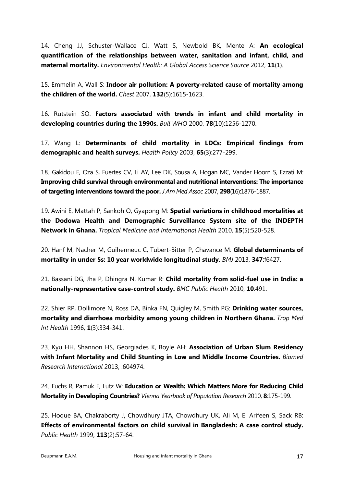14. Cheng JJ, Schuster-Wallace CJ, Watt S, Newbold BK, Mente A: **An ecological quantification of the relationships between water, sanitation and infant, child, and maternal mortality.** *Environmental Health: A Global Access Science Source* 2012, **11**(1).

15. Emmelin A, Wall S: **Indoor air pollution: A poverty-related cause of mortality among the children of the world.** *Chest* 2007, **132**(5):1615-1623.

16. Rutstein SO: **Factors associated with trends in infant and child mortality in developing countries during the 1990s.** *Bull WHO* 2000, **78**(10):1256-1270.

17. Wang L: **Determinants of child mortality in LDCs: Empirical findings from demographic and health surveys.** *Health Policy* 2003, **65**(3):277-299.

18. Gakidou E, Oza S, Fuertes CV, Li AY, Lee DK, Sousa A, Hogan MC, Vander Hoorn S, Ezzati M: **Improving child survival through environmental and nutritional interventions: The importance of targeting interventions toward the poor.** *J Am Med Assoc* 2007, **298**(16):1876-1887.

19. Awini E, Mattah P, Sankoh O, Gyapong M: **Spatial variations in childhood mortalities at the Dodowa Health and Demographic Surveillance System site of the INDEPTH Network in Ghana.** *Tropical Medicine and International Health* 2010, **15**(5):520-528.

20. Hanf M, Nacher M, Guihenneuc C, Tubert-Bitter P, Chavance M: **Global determinants of mortality in under 5s: 10 year worldwide longitudinal study.** *BMJ* 2013, **347**:f6427.

21. Bassani DG, Jha P, Dhingra N, Kumar R: **Child mortality from solid-fuel use in India: a nationally-representative case-control study.** *BMC Public Health* 2010, **10**:491.

22. Shier RP, Dollimore N, Ross DA, Binka FN, Quigley M, Smith PG: **Drinking water sources, mortality and diarrhoea morbidity among young children in Northern Ghana.** *Trop Med Int Health* 1996, **1**(3):334-341.

23. Kyu HH, Shannon HS, Georgiades K, Boyle AH: **Association of Urban Slum Residency with Infant Mortality and Child Stunting in Low and Middle Income Countries.** *Biomed Research International* 2013, :604974.

24. Fuchs R, Pamuk E, Lutz W: **Education or Wealth: Which Matters More for Reducing Child Mortality in Developing Countries?** *Vienna Yearbook of Population Research* 2010, **8**:175-199.

25. Hoque BA, Chakraborty J, Chowdhury JTA, Chowdhury UK, Ali M, El Arifeen S, Sack RB: **Effects of environmental factors on child survival in Bangladesh: A case control study.**  *Public Health* 1999, **113**(2):57-64.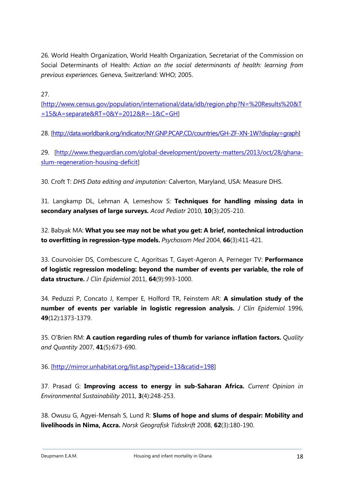26. World Health Organization, World Health Organization, Secretariat of the Commission on Social Determinants of Health: *Action on the social determinants of health: learning from previous experiences.* Geneva, Switzerland: WHO; 2005.

27.

[http://www.census.gov/population/international/data/idb/region.php?N=%20Results%20&T =15&A=separate&RT=0&Y=2012&R=-1&C=GH]

28. [http://data.worldbank.org/indicator/NY.GNP.PCAP.CD/countries/GH-ZF-XN-1W?display=graph]

29. [http://www.theguardian.com/global-development/poverty-matters/2013/oct/28/ghanaslum-regeneration-housing-deficit]

30. Croft T: *DHS Data editing and imputation:* Calverton, Maryland, USA: Measure DHS.

31. Langkamp DL, Lehman A, Lemeshow S: **Techniques for handling missing data in secondary analyses of large surveys.** *Acad Pediatr* 2010, **10**(3):205-210.

32. Babyak MA: **What you see may not be what you get: A brief, nontechnical introduction to overfitting in regression-type models.** *Psychosom Med* 2004, **66**(3):411-421.

33. Courvoisier DS, Combescure C, Agoritsas T, Gayet-Ageron A, Perneger TV: **Performance of logistic regression modeling: beyond the number of events per variable, the role of data structure.** *J Clin Epidemiol* 2011, **64**(9):993-1000.

34. Peduzzi P, Concato J, Kemper E, Holford TR, Feinstem AR: **A simulation study of the number of events per variable in logistic regression analysis.** *J Clin Epidemiol* 1996, **49**(12):1373-1379.

35. O'Brien RM: **A caution regarding rules of thumb for variance inflation factors.** *Quality and Quantity* 2007, **41**(5):673-690.

36. [http://mirror.unhabitat.org/list.asp?typeid=13&catid=198]

37. Prasad G: **Improving access to energy in sub-Saharan Africa.** *Current Opinion in Environmental Sustainability* 2011, **3**(4):248-253.

38. Owusu G, Agyei-Mensah S, Lund R: **Slums of hope and slums of despair: Mobility and livelihoods in Nima, Accra.** *Norsk Geografisk Tidsskrift* 2008, **62**(3):180-190.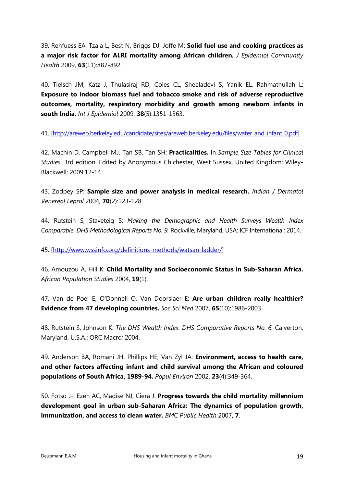39. Rehfuess EA, Tzala L, Best N, Briggs DJ, Joffe M: **Solid fuel use and cooking practices as a major risk factor for ALRI mortality among African children.** *J Epidemiol Community Health* 2009, **63**(11):887-892.

40. Tielsch JM, Katz J, Thulasiraj RD, Coles CL, Sheeladevi S, Yanik EL, Rahmathullah L: **Exposure to indoor biomass fuel and tobacco smoke and risk of adverse reproductive outcomes, mortality, respiratory morbidity and growth among newborn infants in south India.** *Int J Epidemiol* 2009, **38**(5):1351-1363.

41. [http://areweb.berkeley.edu/candidate/sites/areweb.berkeley.edu/files/water\_and\_infant\_0.pdf]

42. Machin D, Campbell MJ, Tan SB, Tan SH: **Practicalities.** In *Sample Size Tables for Clinical Studies.* 3rd edition. Edited by Anonymous Chichester, West Sussex, United Kingdom: Wiley-Blackwell; 2009:12-14.

43. Zodpey SP: **Sample size and power analysis in medical research.** *Indian J Dermatol Venereol Leprol* 2004, **70**(2):123-128.

44. Rutstein S, Staveteig S: *Making the Demographic and Health Surveys Wealth Index Comparable. DHS Methodological Reports No. 9.* Rockville, Maryland, USA: ICF International; 2014.

45. [http://www.wssinfo.org/definitions-methods/watsan-ladder/]

46. Amouzou A, Hill K: **Child Mortality and Socioeconomic Status in Sub-Saharan Africa.**  *African Population Studies* 2004, **19**(1).

47. Van de Poel E, O'Donnell O, Van Doorslaer E: **Are urban children really healthier? Evidence from 47 developing countries.** *Soc Sci Med* 2007, **65**(10):1986-2003.

48. Rutstein S, Johnson K: *The DHS Wealth Index. DHS Comparative Reports No. 6.* Calverton, Maryland, U.S.A.: ORC Macro; 2004.

49. Anderson BA, Romani JH, Phillips HE, Van Zyl JA: **Environment, access to health care, and other factors affecting infant and child survival among the African and coloured populations of South Africa, 1989-94.** *Popul Environ* 2002, **23**(4):349-364.

50. Fotso J-, Ezeh AC, Madise NJ, Ciera J: **Progress towards the child mortality millennium development goal in urban sub-Saharan Africa: The dynamics of population growth, immunization, and access to clean water.** *BMC Public Health* 2007, **7**.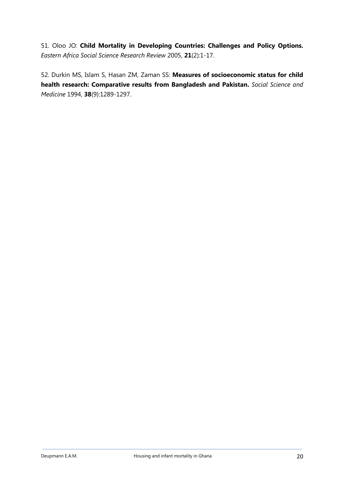51. Oloo JO: **Child Mortality in Developing Countries: Challenges and Policy Options.**  *Eastern Africa Social Science Research Review* 2005, **21**(2):1-17.

52. Durkin MS, Islam S, Hasan ZM, Zaman SS: **Measures of socioeconomic status for child health research: Comparative results from Bangladesh and Pakistan.** *Social Science and Medicine* 1994, **38**(9):1289-1297.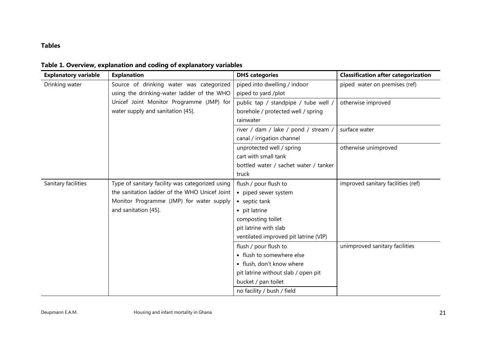# **Tables**

| <b>Explanatory variable</b> | <b>Explanation</b>                              | <b>DHS categories</b>                 | <b>Classification after categorization</b> |
|-----------------------------|-------------------------------------------------|---------------------------------------|--------------------------------------------|
| Drinking water              | Source of drinking water was categorized        | piped into dwelling / indoor          | piped water on premises (ref)              |
|                             | using the drinking-water ladder of the WHO      | piped to yard /plot                   |                                            |
|                             | Unicef Joint Monitor Programme (JMP) for        | public tap / standpipe / tube well /  | otherwise improved                         |
|                             | water supply and sanitation [45].               | borehole / protected well / spring    |                                            |
|                             |                                                 | rainwater                             |                                            |
|                             |                                                 | river / dam / lake / pond / stream /  | surface water                              |
|                             |                                                 | canal / irrigation channel            |                                            |
|                             |                                                 | unprotected well / spring             | otherwise unimproved                       |
|                             |                                                 | cart with small tank                  |                                            |
|                             |                                                 | bottled water / sachet water / tanker |                                            |
|                             |                                                 | truck                                 |                                            |
| Sanitary facilities         | Type of sanitary facility was categorized using | flush / pour flush to                 | improved sanitary facilities (ref)         |
|                             | the sanitation ladder of the WHO Unicef Joint   | • piped sewer system                  |                                            |
|                             | Monitor Programme (JMP) for water supply        | • septic tank                         |                                            |
|                             | and sanitation [45].                            | • pit latrine                         |                                            |
|                             |                                                 | composting toilet                     |                                            |
|                             |                                                 | pit latrine with slab                 |                                            |
|                             |                                                 | ventilated improved pit latrine (VIP) |                                            |
|                             |                                                 | flush / pour flush to                 | unimproved sanitary facilities             |
|                             |                                                 | • flush to somewhere else             |                                            |
|                             |                                                 | · flush, don't know where             |                                            |
|                             |                                                 | pit latrine without slab / open pit   |                                            |
|                             |                                                 | bucket / pan toilet                   |                                            |
|                             |                                                 | no facility / bush / field            |                                            |

**Table 1. Overview, explanation and coding of explanatory variables**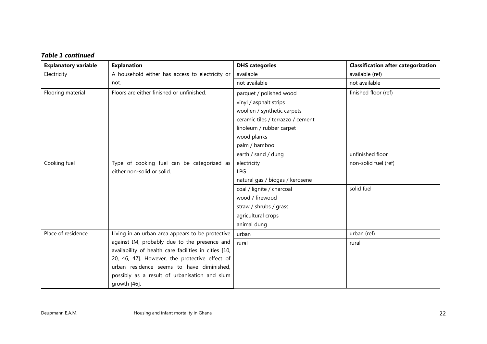| <b>Table 1 continued</b> |
|--------------------------|
|--------------------------|

| <b>Explanatory variable</b> | <b>Explanation</b>                                    | <b>DHS</b> categories             | <b>Classification after categorization</b> |
|-----------------------------|-------------------------------------------------------|-----------------------------------|--------------------------------------------|
| Electricity                 | A household either has access to electricity or       | available                         | available (ref)                            |
|                             | not.                                                  | not available                     | not available                              |
| Flooring material           | Floors are either finished or unfinished.             | parquet / polished wood           | finished floor (ref)                       |
|                             |                                                       | vinyl / asphalt strips            |                                            |
|                             |                                                       | woollen / synthetic carpets       |                                            |
|                             |                                                       | ceramic tiles / terrazzo / cement |                                            |
|                             |                                                       | linoleum / rubber carpet          |                                            |
|                             |                                                       | wood planks                       |                                            |
|                             |                                                       | palm / bamboo                     |                                            |
|                             |                                                       | earth / sand / dung               | unfinished floor                           |
| Cooking fuel                | Type of cooking fuel can be categorized as            | electricity                       | non-solid fuel (ref)                       |
|                             | either non-solid or solid.                            | <b>LPG</b>                        |                                            |
|                             |                                                       | natural gas / biogas / kerosene   |                                            |
|                             |                                                       | coal / lignite / charcoal         | solid fuel                                 |
|                             |                                                       | wood / firewood                   |                                            |
|                             |                                                       | straw / shrubs / grass            |                                            |
|                             |                                                       | agricultural crops                |                                            |
|                             |                                                       | animal dung                       |                                            |
| Place of residence          | Living in an urban area appears to be protective      | urban                             | urban (ref)                                |
|                             | against IM, probably due to the presence and          | rural                             | rural                                      |
|                             | availability of health care facilities in cities [10, |                                   |                                            |
|                             | 20, 46, 47]. However, the protective effect of        |                                   |                                            |
|                             | urban residence seems to have diminished,             |                                   |                                            |
|                             | possibly as a result of urbanisation and slum         |                                   |                                            |
|                             | growth [46].                                          |                                   |                                            |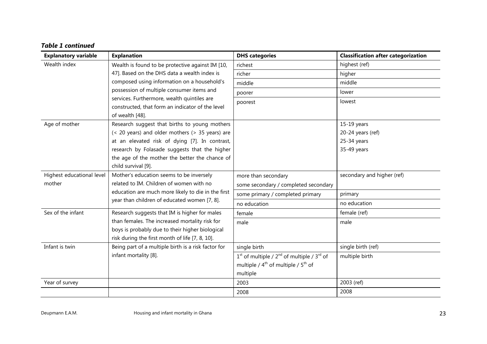| <b>Table 1 continued</b> |
|--------------------------|
|--------------------------|

| <b>Explanatory variable</b> | <b>Explanation</b>                                                  | <b>DHS</b> categories                            | <b>Classification after categorization</b> |
|-----------------------------|---------------------------------------------------------------------|--------------------------------------------------|--------------------------------------------|
| Wealth index                | Wealth is found to be protective against IM [10,                    | richest                                          | highest (ref)                              |
|                             | 47]. Based on the DHS data a wealth index is                        | richer                                           | higher                                     |
|                             | composed using information on a household's                         | middle                                           | middle                                     |
|                             | possession of multiple consumer items and                           | poorer                                           | lower                                      |
|                             | services. Furthermore, wealth quintiles are                         | poorest                                          | lowest                                     |
|                             | constructed, that form an indicator of the level<br>of wealth [48]. |                                                  |                                            |
| Age of mother               | Research suggest that births to young mothers                       |                                                  | $15-19$ years                              |
|                             | (< 20 years) and older mothers (> 35 years) are                     |                                                  | 20-24 years (ref)                          |
|                             | at an elevated risk of dying [7]. In contrast,                      |                                                  | 25-34 years                                |
|                             | research by Folasade suggests that the higher                       |                                                  | 35-49 years                                |
|                             | the age of the mother the better the chance of                      |                                                  |                                            |
|                             | child survival [9].                                                 |                                                  |                                            |
| Highest educational level   | Mother's education seems to be inversely                            | more than secondary                              | secondary and higher (ref)                 |
| mother                      | related to IM. Children of women with no                            | some secondary / completed secondary             |                                            |
|                             | education are much more likely to die in the first                  | some primary / completed primary                 | primary                                    |
|                             | year than children of educated women [7, 8].                        | no education                                     | no education                               |
| Sex of the infant           | Research suggests that IM is higher for males                       | female                                           | female (ref)                               |
|                             | than females. The increased mortality risk for                      | male                                             | male                                       |
|                             | boys is probably due to their higher biological                     |                                                  |                                            |
|                             | risk during the first month of life [7, 8, 10].                     |                                                  |                                            |
| Infant is twin              | Being part of a multiple birth is a risk factor for                 | single birth                                     | single birth (ref)                         |
|                             | infant mortality [8].                                               | $1st$ of multiple / $2nd$ of multiple / $3rd$ of | multiple birth                             |
|                             |                                                                     | multiple / $4^{th}$ of multiple / $5^{th}$ of    |                                            |
|                             |                                                                     | multiple                                         |                                            |
| Year of survey              |                                                                     | 2003                                             | 2003 (ref)                                 |
|                             |                                                                     | 2008                                             | 2008                                       |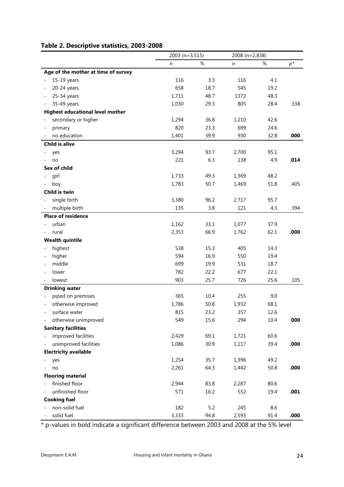# **Table 2. Descriptive statistics, 2003-2008**

|                                         |       | 2003 (n=3,515)<br>2008 (n=2,838) |       |      |       |
|-----------------------------------------|-------|----------------------------------|-------|------|-------|
|                                         | n     | %                                | n     | %    | $p^*$ |
| Age of the mother at time of survey     |       |                                  |       |      |       |
| 15-19 years                             | 116   | 3.3                              | 116   | 4.1  |       |
| 20-24 years                             | 658   | 18.7                             | 545   | 19.2 |       |
| 25-34 years                             | 1,711 | 48.7                             | 1372  | 48.3 |       |
| 35-49 years                             | 1,030 | 29.3                             | 805   | 28.4 | .338  |
| <b>Highest educational level mother</b> |       |                                  |       |      |       |
| secondary or higher                     | 1,294 | 36.8                             | 1,210 | 42.6 |       |
| primary                                 | 820   | 23.3                             | 699   | 24.6 |       |
| no education                            | 1,401 | 39.9                             | 930   | 32.8 | .000  |
| <b>Child is alive</b>                   |       |                                  |       |      |       |
| yes                                     | 3,294 | 93.7                             | 2,700 | 95.1 |       |
| no                                      | 221   | 6.3                              | 138   | 4.9  | .014  |
| <b>Sex of child</b>                     |       |                                  |       |      |       |
| girl                                    | 1,733 | 49.3                             | 1,369 | 48.2 |       |
| boy                                     | 1,783 | 50.7                             | 1,469 | 51.8 | .405  |
| Child is twin                           |       |                                  |       |      |       |
| single birth                            | 3,380 | 96.2                             | 2,717 | 95.7 |       |
| multiple birth                          | 135   | 3.8                              | 121   | 4.3  | .394  |
| <b>Place of residence</b>               |       |                                  |       |      |       |
| urban                                   | 1,162 | 33.1                             | 1,077 | 37.9 |       |
| rural                                   | 2,353 | 66.9                             | 1,762 | 62.1 | .000  |
| <b>Wealth quintile</b>                  |       |                                  |       |      |       |
| highest                                 | 538   | 15.3                             | 405   | 14.3 |       |
| higher                                  | 594   | 16.9                             | 550   | 19.4 |       |
| middle                                  | 699   | 19.9                             | 531   | 18.7 |       |
| lower                                   | 782   | 22.2                             | 677   | 22.1 |       |
| lowest                                  | 903   | 25.7                             | 726   | 25.6 | .105  |
| <b>Drinking water</b>                   |       |                                  |       |      |       |
| piped on premises                       | 365   | 10.4                             | 255   | 9.0  |       |
| otherwise improved                      | 1,786 | 50.8                             | 1,932 | 68.1 |       |
| surface water                           | 815   | 23.2                             | 357   | 12.6 |       |
| otherwise unimproved                    | 549   | 15.6                             | 294   | 10.4 | .000  |
| <b>Sanitary facilities</b>              |       |                                  |       |      |       |
| improved facilities                     | 2,429 | 69.1                             | 1,721 | 60.6 |       |
| unimproved facilities                   | 1,086 | 30.9                             | 1,117 | 39.4 | .000  |
| <b>Electricity available</b>            |       |                                  |       |      |       |
| yes                                     | 1,254 | 35.7                             | 1,396 | 49.2 |       |
| no                                      | 2,261 | 64.3                             | 1,442 | 50.8 | .000  |
| <b>Flooring material</b>                |       |                                  |       |      |       |
| finished floor                          | 2,944 | 83.8                             | 2,287 | 80.6 |       |
| unfinished floor                        | 571   | 16.2                             | 552   | 19.4 | .001  |
| <b>Cooking fuel</b>                     |       |                                  |       |      |       |
| non-solid fuel                          | 182   | 5.2                              | 245   | 8.6  |       |
| solid fuel                              | 3,333 | 94.8                             | 2,593 | 91.4 | .000  |

\* p-values in bold indicate a significant difference between 2003 and 2008 at the 5% level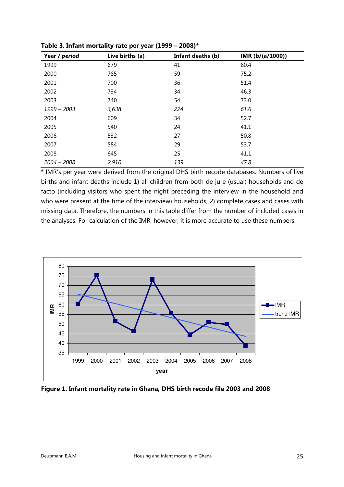| Year / period | Live births (a) | Infant deaths (b) | IMR (b/(a/1000)) |
|---------------|-----------------|-------------------|------------------|
| 1999          | 679             | 41                | 60.4             |
| 2000          | 785             | 59                | 75.2             |
| 2001          | 700             | 36                | 51.4             |
| 2002          | 734             | 34                | 46.3             |
| 2003          | 740             | 54                | 73.0             |
| 1999 - 2003   | 3,638           | 224               | 61.6             |
| 2004          | 609             | 34                | 52.7             |
| 2005          | 540             | 24                | 41.1             |
| 2006          | 532             | 27                | 50.8             |
| 2007          | 584             | 29                | 53.7             |
| 2008          | 645             | 25                | 41.1             |
| $2004 - 2008$ | 2,910           | 139               | 47.8             |

**Table 3. Infant mortality rate per year (1999 – 2008)\*** 

\* IMR's per year were derived from the original DHS birth recode databases. Numbers of live births and infant deaths include 1) all children from both de jure (usual) households and de facto (including visitors who spent the night preceding the interview in the household and who were present at the time of the interview) households; 2) complete cases and cases with missing data. Therefore, the numbers in this table differ from the number of included cases in the analyses. For calculation of the IMR, however, it is more accurate to use these numbers.



**Figure 1. Infant mortality rate in Ghana, DHS birth recode file 2003 and 2008**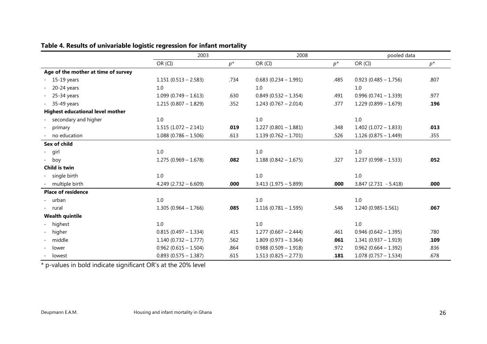|                                         | 2003                    | 2008  |                         |       | pooled data             |       |
|-----------------------------------------|-------------------------|-------|-------------------------|-------|-------------------------|-------|
|                                         | OR (CI)                 | $p^*$ | OR (CI)                 | $p^*$ | OR (CI)                 | $p^*$ |
| Age of the mother at time of survey     |                         |       |                         |       |                         |       |
| 15-19 years                             | $1.151(0.513 - 2.583)$  | .734  | $0.683(0.234 - 1.991)$  | .485  | $0.923(0.485 - 1.756)$  | .807  |
| 20-24 years                             | 1.0                     |       | 1.0                     |       | 1.0                     |       |
| 25-34 years                             | $1.099(0.749 - 1.613)$  | .630  | $0.849$ (0.532 - 1.354) | .491  | $0.996(0.741 - 1.339)$  | .977  |
| 35-49 years                             | $1.215(0.807 - 1.829)$  | .352  | $1.243(0.767 - 2.014)$  | .377  | $1.229(0.899 - 1.679)$  | .196  |
| <b>Highest educational level mother</b> |                         |       |                         |       |                         |       |
| secondary and higher                    | 1.0                     |       | 1.0                     |       | 1.0                     |       |
| primary                                 | $1.515(1.072 - 2.141)$  | .019  | $1.227(0.801 - 1.881)$  | .348  | $1.402$ (1.072 - 1.833) | .013  |
| no education                            | $1.088(0.786 - 1.506)$  | .613  | $1.139(0.762 - 1.701)$  | .526  | $1.126(0.875 - 1.449)$  | .355  |
| Sex of child                            |                         |       |                         |       |                         |       |
| - girl                                  | $1.0\,$                 |       | $1.0\,$                 |       | 1.0                     |       |
| - boy                                   | $1.275(0.969 - 1.678)$  | .082  | $1.188(0.842 - 1.675)$  | .327  | $1.237(0.998 - 1.533)$  | .052  |
| Child is twin                           |                         |       |                         |       |                         |       |
| single birth                            | 1.0                     |       | 1.0                     |       | 1.0                     |       |
| multiple birth                          | $4.249$ (2.732 - 6.609) | .000  | $3.413$ (1.975 - 5.899) | .000  | $3.847(2.731 - 5.418)$  | .000  |
| <b>Place of residence</b>               |                         |       |                         |       |                         |       |
| urban                                   | 1.0                     |       | 1.0                     |       | 1.0                     |       |
| - rural                                 | $1.305(0.964 - 1.766)$  | .085  | $1.116(0.781 - 1.595)$  | .546  | 1.240 (0.985-1.561)     | .067  |
| <b>Wealth quintile</b>                  |                         |       |                         |       |                         |       |
| highest                                 | 1.0                     |       | $1.0$                   |       | 1.0                     |       |
| higher                                  | $0.815(0.497 - 1.334)$  | .415  | $1.277(0.667 - 2.444)$  | .461  | $0.946(0.642 - 1.395)$  | .780  |
| middle                                  | $1.140(0.732 - 1.777)$  | .562  | $1.809(0.973 - 3.364)$  | .061  | $1.341(0.937 - 1.919)$  | .109  |
| lower                                   | $0.962$ (0.615 - 1.504) | .864  | $0.988(0.509 - 1.918)$  | .972  | $0.962$ (0.664 - 1.392) | .836  |
| lowest                                  | $0.893(0.575 - 1.387)$  | .615  | $1.513(0.825 - 2.773)$  | .181  | $1.078(0.757 - 1.534)$  | .678  |

# **Table 4. Results of univariable logistic regression for infant mortality**

\* p-values in bold indicate significant OR's at the 20% level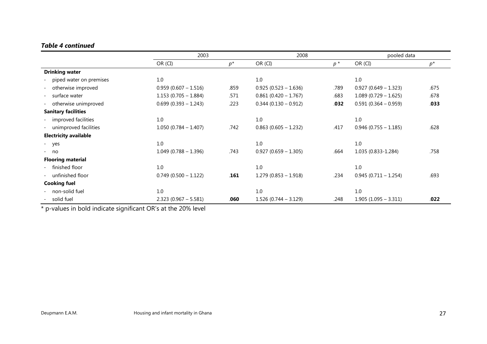# *Table 4 continued*

|                              | 2003                    |       |                         | 2008  |                         | pooled data |  |
|------------------------------|-------------------------|-------|-------------------------|-------|-------------------------|-------------|--|
|                              | OR (CI)                 | $p^*$ | OR (CI)                 | $p^*$ | OR (CI)                 | $p^*$       |  |
| <b>Drinking water</b>        |                         |       |                         |       |                         |             |  |
| piped water on premises      | 1.0                     |       | 1.0                     |       | 1.0                     |             |  |
| otherwise improved           | $0.959(0.607 - 1.516)$  | .859  | $0.925(0.523 - 1.636)$  | .789  | $0.927$ (0.649 - 1.323) | .675        |  |
| surface water                | $1.153(0.705 - 1.884)$  | .571  | $0.861 (0.420 - 1.767)$ | .683  | $1.089(0.729 - 1.625)$  | .678        |  |
| otherwise unimproved         | $0.699$ (0.393 - 1.243) | .223  | $0.344(0.130 - 0.912)$  | .032  | $0.591(0.364 - 0.959)$  | .033        |  |
| <b>Sanitary facilities</b>   |                         |       |                         |       |                         |             |  |
| - improved facilities        | 1.0                     |       | 1.0                     |       | 1.0                     |             |  |
| unimproved facilities        | $1.050(0.784 - 1.407)$  | .742  | $0.863(0.605 - 1.232)$  | .417  | $0.946$ (0.755 - 1.185) | .628        |  |
| <b>Electricity available</b> |                         |       |                         |       |                         |             |  |
| - yes                        | 1.0                     |       | 1.0                     |       | 1.0                     |             |  |
| $- no$                       | $1.049(0.788 - 1.396)$  | .743  | $0.927$ (0.659 - 1.305) | .664  | 1.035 (0.833-1.284)     | .758        |  |
| <b>Flooring material</b>     |                         |       |                         |       |                         |             |  |
| finished floor               | 1.0                     |       | 1.0                     |       | 1.0                     |             |  |
| unfinished floor             | $0.749$ (0.500 - 1.122) | .161  | $1.279(0.853 - 1.918)$  | .234  | $0.945(0.711 - 1.254)$  | .693        |  |
| <b>Cooking fuel</b>          |                         |       |                         |       |                         |             |  |
| - non-solid fuel             | 1.0                     |       | 1.0                     |       | $1.0\,$                 |             |  |
| solid fuel                   | $2.323(0.967 - 5.581)$  | .060  | $1.526(0.744 - 3.129)$  | .248  | $1.905(1.095 - 3.311)$  | .022        |  |

\* p-values in bold indicate significant OR's at the 20% level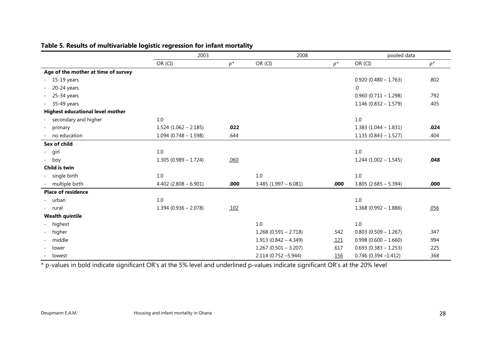|                                         | 2003                    |       | 2008                   |             | pooled data             |       |
|-----------------------------------------|-------------------------|-------|------------------------|-------------|-------------------------|-------|
|                                         | OR (CI)                 | $p^*$ | OR (CI)                | $p^*$       | OR (CI)                 | $p^*$ |
| Age of the mother at time of survey     |                         |       |                        |             |                         |       |
| 15-19 years<br>$\overline{\phantom{a}}$ |                         |       |                        |             | $0.920(0.480 - 1.763)$  | .802  |
| 20-24 years<br>$\overline{\phantom{a}}$ |                         |       |                        |             | 0.                      |       |
| 25-34 years<br>$\overline{\phantom{a}}$ |                         |       |                        |             | $0.960(0.711 - 1.298)$  | .792  |
| 35-49 years<br>$\sim$                   |                         |       |                        |             | $1.146(0.832 - 1.579)$  | .405  |
| <b>Highest educational level mother</b> |                         |       |                        |             |                         |       |
| secondary and higher                    | 1.0                     |       |                        |             | 1.0                     |       |
| primary<br>$\overline{\phantom{a}}$     | $1.524$ (1.062 - 2.185) | .022  |                        |             | $1.383(1.044 - 1.831)$  | .024  |
| no education                            | $1.094(0.748 - 1.598)$  | .644  |                        |             | $1.135(0.843 - 1.527)$  | .404  |
| Sex of child                            |                         |       |                        |             |                         |       |
| - girl                                  | 1.0                     |       |                        |             | 1.0                     |       |
| - boy                                   | $1.305(0.989 - 1.724)$  | .060  |                        |             | $1.244(1.002 - 1.545)$  | .048  |
| Child is twin                           |                         |       |                        |             |                         |       |
| single birth                            | 1.0                     |       | 1.0                    |             | 1.0                     |       |
| multiple birth                          | $4.402$ (2.808 - 6.901) | .000  | $3.485(1.997 - 6.081)$ | .000        | $3.805(2.685 - 5.394)$  | .000  |
| <b>Place of residence</b>               |                         |       |                        |             |                         |       |
| - urban                                 | 1.0                     |       |                        |             | 1.0                     |       |
| - rural                                 | $1.394(0.936 - 2.078)$  | .102  |                        |             | $1.368(0.992 - 1.886)$  | .056  |
| <b>Wealth quintile</b>                  |                         |       |                        |             |                         |       |
| highest                                 |                         |       | 1.0                    |             | 1.0                     |       |
| higher                                  |                         |       | $1.268(0.591 - 2.718)$ | .542        | $0.803$ (0.509 - 1.267) | .347  |
| middle                                  |                         |       | $1.913(0.842 - 4.349)$ | <u>.121</u> | $0.998(0.600 - 1.660)$  | .994  |
| lower                                   |                         |       | $1.267(0.501 - 3.207)$ | .617        | $0.693(0.383 - 1.253)$  | .225  |
| lowest                                  |                         |       | $2.114(0.752 - 5.944)$ | .156        | $0.746(0.394 - 1.412)$  | .368  |

# **Table 5. Results of multivariable logistic regression for infant mortality**

\* p-values in bold indicate significant OR's at the 5% level and underlined p-values indicate significant OR's at the 20% level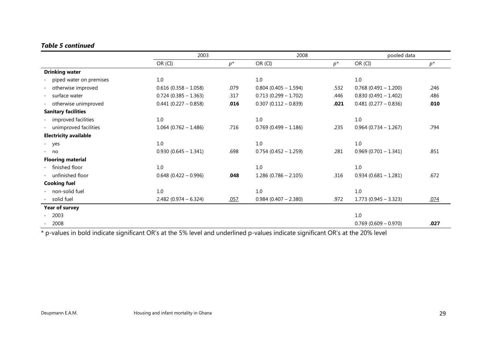# *Table 5 continued*

|                              | 2003                    |       |                         |       |                         | pooled data |  |
|------------------------------|-------------------------|-------|-------------------------|-------|-------------------------|-------------|--|
|                              | OR (CI)                 | $p^*$ | OR (CI)                 | $p^*$ | OR (CI)                 | $p^*$       |  |
| <b>Drinking water</b>        |                         |       |                         |       |                         |             |  |
| piped water on premises      | 1.0                     |       | 1.0                     |       | 1.0                     |             |  |
| otherwise improved           | $0.616$ (0.358 - 1.058) | .079  | $0.804$ (0.405 - 1.594) | .532  | $0.768$ (0.491 - 1.200) | .246        |  |
| surface water                | $0.724$ (0.385 - 1.363) | .317  | $0.713(0.299 - 1.702)$  | .446  | $0.830(0.491 - 1.402)$  | .486        |  |
| - otherwise unimproved       | $0.441 (0.227 - 0.858)$ | .016  | $0.307(0.112 - 0.839)$  | .021  | $0.481(0.277 - 0.836)$  | .010        |  |
| <b>Sanitary facilities</b>   |                         |       |                         |       |                         |             |  |
| - improved facilities        | 1.0                     |       | 1.0                     |       | $1.0\,$                 |             |  |
| - unimproved facilities      | $1.064$ (0.762 - 1.486) | .716  | $0.769$ (0.499 - 1.186) | .235  | $0.964$ (0.734 - 1.267) | .794        |  |
| <b>Electricity available</b> |                         |       |                         |       |                         |             |  |
| - yes                        | 1.0                     |       | 1.0                     |       | 1.0                     |             |  |
| $- no$                       | $0.930(0.645 - 1.341)$  | .698  | $0.754(0.452 - 1.259)$  | .281  | $0.969(0.701 - 1.341)$  | .851        |  |
| <b>Flooring material</b>     |                         |       |                         |       |                         |             |  |
| - finished floor             | 1.0                     |       | 1.0                     |       | 1.0                     |             |  |
| - unfinished floor           | $0.648$ (0.422 - 0.996) | .048  | $1.286(0.786 - 2.105)$  | .316  | $0.934(0.681 - 1.281)$  | .672        |  |
| <b>Cooking fuel</b>          |                         |       |                         |       |                         |             |  |
| - non-solid fuel             | 1.0                     |       | 1.0                     |       | 1.0                     |             |  |
| solid fuel                   | $2.482(0.974 - 6.324)$  | .057  | $0.984$ (0.407 - 2.380) | .972  | $1.773$ (0.945 - 3.323) | .074        |  |
| Year of survey               |                         |       |                         |       |                         |             |  |
| 2003                         |                         |       |                         |       | 1.0                     |             |  |
| 2008                         |                         |       |                         |       | $0.769$ (0.609 - 0.970) | .027        |  |

\* p-values in bold indicate significant OR's at the 5% level and underlined p-values indicate significant OR's at the 20% level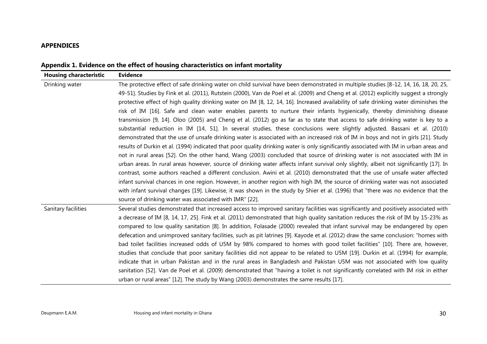## **APPENDICES**

|  |  | Appendix 1. Evidence on the effect of housing characteristics on infant mortality |
|--|--|-----------------------------------------------------------------------------------|
|  |  |                                                                                   |

| <b>Housing characteristic</b> | <b>Evidence</b>                                                                                                                                                                                                                                                                 |
|-------------------------------|---------------------------------------------------------------------------------------------------------------------------------------------------------------------------------------------------------------------------------------------------------------------------------|
| Drinking water                | The protective effect of safe drinking water on child survival have been demonstrated in multiple studies [8-12, 14, 16, 18, 20, 25,<br>49-51]. Studies by Fink et al. (2011), Rutstein (2000), Van de Poel et al. (2009) and Cheng et al. (2012) explicitly suggest a strongly |
|                               | protective effect of high quality drinking water on IM [8, 12, 14, 16]. Increased availability of safe drinking water diminishes the                                                                                                                                            |
|                               | risk of IM [16]. Safe and clean water enables parents to nurture their infants hygienically, thereby diminishing disease                                                                                                                                                        |
|                               | transmission [9, 14]. Oloo (2005) and Cheng et al. (2012) go as far as to state that access to safe drinking water is key to a                                                                                                                                                  |
|                               | substantial reduction in IM [14, 51]. In several studies, these conclusions were slightly adjusted. Bassani et al. (2010)                                                                                                                                                       |
|                               | demonstrated that the use of unsafe drinking water is associated with an increased risk of IM in boys and not in girls [21]. Study                                                                                                                                              |
|                               | results of Durkin et al. (1994) indicated that poor quality drinking water is only significantly associated with IM in urban areas and<br>not in rural areas [52]. On the other hand, Wang (2003) concluded that source of drinking water is not associated with IM in          |
|                               | urban areas. In rural areas however, source of drinking water affects infant survival only slightly, albeit not significantly [17]. In                                                                                                                                          |
|                               | contrast, some authors reached a different conclusion. Awini et al. (2010) demonstrated that the use of unsafe water affected                                                                                                                                                   |
|                               | infant survival chances in one region. However, in another region with high IM, the source of drinking water was not associated                                                                                                                                                 |
|                               | with infant survival changes [19]. Likewise, it was shown in the study by Shier et al. (1996) that "there was no evidence that the                                                                                                                                              |
|                               | source of drinking water was associated with IMR" [22].                                                                                                                                                                                                                         |
| Sanitary facilities           | Several studies demonstrated that increased access to improved sanitary facilities was significantly and positively associated with                                                                                                                                             |
|                               | a decrease of IM [8, 14, 17, 25]. Fink et al. (2011) demonstrated that high quality sanitation reduces the risk of IM by 15-23% as                                                                                                                                              |
|                               | compared to low quality sanitation [8]. In addition, Folasade (2000) revealed that infant survival may be endangered by open                                                                                                                                                    |
|                               | defecation and unimproved sanitary facilities, such as pit latrines [9]. Kayode et al. (2012) draw the same conclusion: "homes with                                                                                                                                             |
|                               | bad toilet facilities increased odds of U5M by 98% compared to homes with good toilet facilities" [10]. There are, however,                                                                                                                                                     |
|                               | studies that conclude that poor sanitary facilities did not appear to be related to U5M [19]. Durkin et al. (1994) for example,                                                                                                                                                 |
|                               | indicate that in urban Pakistan and in the rural areas in Bangladesh and Pakistan U5M was not associated with low quality                                                                                                                                                       |
|                               | sanitation [52]. Van de Poel et al. (2009) demonstrated that "having a toilet is not significantly correlated with IM risk in either                                                                                                                                            |
|                               | urban or rural areas" [12]. The study by Wang (2003) demonstrates the same results [17].                                                                                                                                                                                        |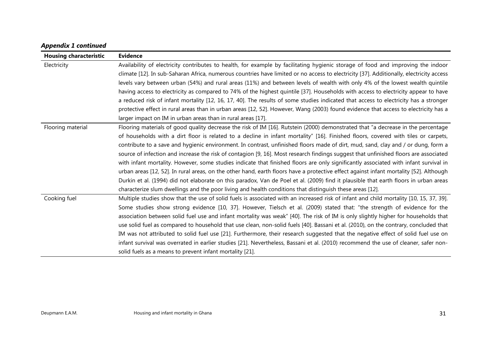### *Appendix 1 continued*

| <b>Housing characteristic</b> | <b>Evidence</b>                                                                                                                         |
|-------------------------------|-----------------------------------------------------------------------------------------------------------------------------------------|
| Electricity                   | Availability of electricity contributes to health, for example by facilitating hygienic storage of food and improving the indoor        |
|                               | climate [12]. In sub-Saharan Africa, numerous countries have limited or no access to electricity [37]. Additionally, electricity access |
|                               | levels vary between urban (54%) and rural areas (11%) and between levels of wealth with only 4% of the lowest wealth quintile           |
|                               | having access to electricity as compared to 74% of the highest quintile [37]. Households with access to electricity appear to have      |
|                               | a reduced risk of infant mortality [12, 16, 17, 40]. The results of some studies indicated that access to electricity has a stronger    |
|                               | protective effect in rural areas than in urban areas [12, 52]. However, Wang (2003) found evidence that access to electricity has a     |
|                               | larger impact on IM in urban areas than in rural areas [17].                                                                            |
| Flooring material             | Flooring materials of good quality decrease the risk of IM [16]. Rutstein (2000) demonstrated that "a decrease in the percentage        |
|                               | of households with a dirt floor is related to a decline in infant mortality" [16]. Finished floors, covered with tiles or carpets,      |
|                               | contribute to a save and hygienic environment. In contrast, unfinished floors made of dirt, mud, sand, clay and / or dung, form a       |
|                               | source of infection and increase the risk of contagion [9, 16]. Most research findings suggest that unfinished floors are associated    |
|                               | with infant mortality. However, some studies indicate that finished floors are only significantly associated with infant survival in    |
|                               | urban areas [12, 52]. In rural areas, on the other hand, earth floors have a protective effect against infant mortality [52]. Although  |
|                               | Durkin et al. (1994) did not elaborate on this paradox, Van de Poel et al. (2009) find it plausible that earth floors in urban areas    |
|                               | characterize slum dwellings and the poor living and health conditions that distinguish these areas [12].                                |
| Cooking fuel                  | Multiple studies show that the use of solid fuels is associated with an increased risk of infant and child mortality [10, 15, 37, 39].  |
|                               | Some studies show strong evidence [10, 37]. However, Tielsch et al. (2009) stated that: "the strength of evidence for the               |
|                               | association between solid fuel use and infant mortality was weak" [40]. The risk of IM is only slightly higher for households that      |
|                               | use solid fuel as compared to household that use clean, non-solid fuels [40]. Bassani et al. (2010), on the contrary, concluded that    |
|                               | IM was not attributed to solid fuel use [21]. Furthermore, their research suggested that the negative effect of solid fuel use on       |
|                               | infant survival was overrated in earlier studies [21]. Nevertheless, Bassani et al. (2010) recommend the use of cleaner, safer non-     |
|                               | solid fuels as a means to prevent infant mortality [21].                                                                                |